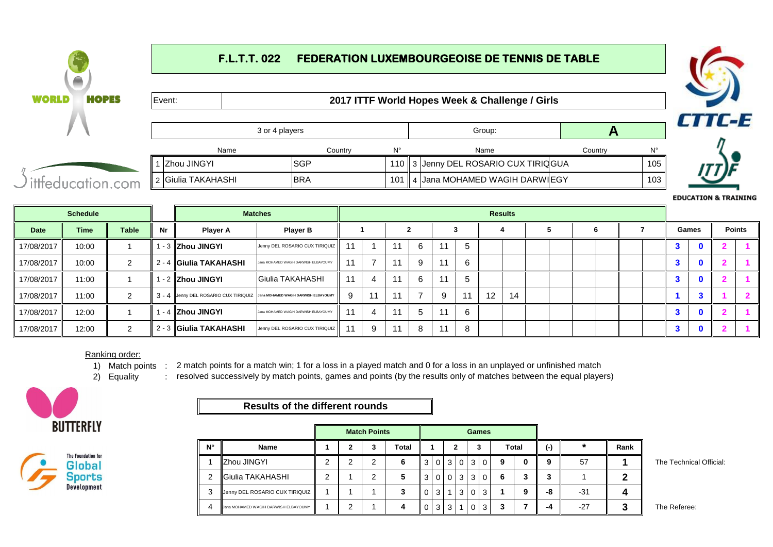### **F.L.T.T. 022 FEDERATION LUXEMBOURGEOISE DE TENNIS DE TABLE WORLD HOPES** Event: **2017 ITTF World Hopes Week & Challenge / Girls CTTC-E** 3 or 4 players **A** Name Country N° Name Country N°1 3 3 Jenny DEL ROSARIO CUX TIRIQGUA 105 2 4 4 Jana MOHAMED WAGIH DARWIEGY 103 ittfeducation.com **EDUCATION & TRAINING**

|             | <b>Schedule</b> |              |    |                                                                           | <b>Matches</b>                       |    |    |     |    |       |    |                   | <b>Results</b> |   |    |       |               |
|-------------|-----------------|--------------|----|---------------------------------------------------------------------------|--------------------------------------|----|----|-----|----|-------|----|-------------------|----------------|---|----|-------|---------------|
| <b>Date</b> | Time            | <b>Table</b> | Nr | <b>Player A</b>                                                           | <b>Player B</b>                      |    |    |     |    |       |    |                   |                | O |    | Games | <b>Points</b> |
| 17/08/2017  | 10:00           |              |    | ∣ - 3 <b>IZhou JINGYI</b>                                                 | Jenny DEL ROSARIO CUX TIRIQUIZ       |    |    |     | 6  | 11    |    |                   |                |   | o. |       |               |
| 17/08/2017  | 10:00           | $\sim$       |    | 2 - 4 <b>Giulia TAKAHASHI</b>                                             | Jana MOHAMED WAGIH DARWISH ELBAYOUMY |    | ⇁  | -11 | -9 | $-11$ | 6  |                   |                |   |    |       |               |
| 17/08/2017  | 11:00           |              |    | ∣ - 2 ∥Zhou JINGYI                                                        | Giulia TAKAHASHI                     | 11 | 4  | 11  | 6  | 11    |    |                   |                |   | 3  |       |               |
| 17/08/2017  | 11:00           | $\sim$       |    | 3 - 4 Jenny DEL ROSARIO CUX TIRIQUIZ Jana MOHAMED WAGIH DARWISH ELBAYOUMY |                                      | 9  | 11 | -11 |    | 9     | 11 | $12 \overline{ }$ | 14             |   |    |       |               |
| 17/08/2017  | 12:00           |              |    | ∣ - 4 ∥Zhou JINGYI                                                        | Jana MOHAMED WAGIH DARWISH ELBAYOUMY |    | 4  | 11  | h  | 11    | 6  |                   |                |   | 3  |       |               |
| 17/08/2017  | 12:00           |              |    | 2 - 3 Giulia TAKAHASHI                                                    | Jenny DEL ROSARIO CUX TIRIQUIZ       |    | 9  |     | 8  | 11    | 8  |                   |                |   |    |       |               |

## Ranking order:

1) Match points : 2 match points for a match win; 1 for a loss in a played match and 0 for a loss in an unplayed or unfinished match

2) Equality resolved successively by match points, games and points (by the results only of matches between the equal players)





# **Results of the different rounds**

|             |                                      |   |   | <b>Match Points</b> |       |     |     |                 |          |          | <b>Games</b> |   |       |     |       |      |  |
|-------------|--------------------------------------|---|---|---------------------|-------|-----|-----|-----------------|----------|----------|--------------|---|-------|-----|-------|------|--|
| $N^{\circ}$ | <b>Name</b>                          |   | ο |                     | Total |     |     |                 |          |          | з            |   | Total | (-) |       | Rank |  |
|             | <b>Zhou JINGYI</b>                   | ◠ | ◠ | ົ                   |       |     |     | $0 \mid 3 \mid$ | $\Omega$ | -3       | $\Omega$     | 9 |       | q   | 57    |      |  |
| 2           | Giulia TAKAHASHI                     | ◠ |   | ◠                   |       | 3 I |     | 0 <sub>0</sub>  | 3        | -3       | $\Omega$     | 6 |       |     |       |      |  |
| 3           | Jenny DEL ROSARIO CUX TIRIQUIZ       |   |   |                     |       | 0   | 3 I |                 | 3        | $\Omega$ | 3            |   |       | -8  | -31   |      |  |
| Δ           | Jana MOHAMED WAGIH DARWISH ELBAYOUMY |   | ⌒ |                     |       | 0   | 3 I | 3               |          | $\Omega$ | 3            |   |       | -4  | $-27$ |      |  |

**1 The Technical Official:** 

0 3 3 1 0 3 **3 7 -4** -27 **3** The Referee: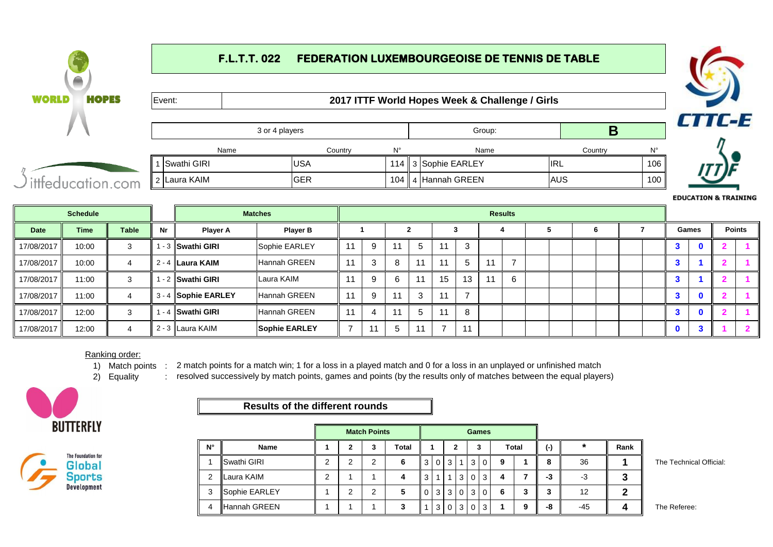### **F.L.T.T. 022 FEDERATION LUXEMBOURGEOISE DE TENNIS DE TABLE WORLD HOPES** Event: **2017 ITTF World Hopes Week & Challenge / Girls CTTC-E** 3 or 4 players **B** Name Country N° Name Country N°1 3 3 Sophie EARLEY **IRL** 106  $|2|$ Laura KAIM  $|\text{GER}$  | 104 ittfeducation.com 4 Hannah GREEN AUS 100

|            | <b>Schedule</b> |              |    |                                 | <b>Matches</b>       |    |              |    |    |              | <b>Results</b> |  |   |  |    |              |               |
|------------|-----------------|--------------|----|---------------------------------|----------------------|----|--------------|----|----|--------------|----------------|--|---|--|----|--------------|---------------|
| Date       | <b>Time</b>     | <b>Table</b> | Nr | <b>Player A</b>                 | <b>Player B</b>      |    |              |    |    |              |                |  | b |  |    | Games        | <b>Points</b> |
| 17/08/2017 | 10:00           | 3            |    | ∣ - 3 <mark>ISwathi GIRI</mark> | Sophie EARLEY        | 9  | 11           |    | 11 | ۰J           |                |  |   |  | ۰ō | $\bf{0}$     |               |
| 17/08/2017 | 10:00           |              |    | 2 - 4 ILaura KAIM               | Hannah GREEN         | 3  | $\circ$<br>O | 11 | 11 | $\mathbf{D}$ |                |  |   |  |    |              |               |
| 17/08/2017 | 11:00           | 3            |    | - 2 <b>Swathi GIRI</b>          | Laura KAIM           | 9  | 6            | 11 | 15 | 13           | 6              |  |   |  | ÷  |              |               |
| 17/08/2017 | 11:00           |              |    | 3 - 4 Sophie EARLEY             | Hannah GREEN         | 9  | 11           |    | 11 |              |                |  |   |  |    | $\mathbf{0}$ |               |
| 17/08/2017 | 12:00           |              |    | ∣ - 4 ∥Swathi GIRI              | Hannah GREEN         | 4  | 11           |    | 11 | 8            |                |  |   |  |    | $\mathbf{0}$ |               |
| 17/08/2017 | 12:00           |              |    | 2 - 3 ∥Laura KAIM               | <b>Sophie EARLEY</b> | 11 |              | 11 |    | 11           |                |  |   |  |    | - -          |               |

### Ranking order:

1) Match points : 2 match points for a match win; 1 for a loss in a played match and 0 for a loss in an unplayed or unfinished match

2) Equality resolved successively by match points, games and points (by the results only of matches between the equal players)





## **Results of the different rounds**

|             |               |   | <b>Match Points</b> |       |   |   |                 |                |    | <b>Games</b>    |   |       |           |         |         |                         |
|-------------|---------------|---|---------------------|-------|---|---|-----------------|----------------|----|-----------------|---|-------|-----------|---------|---------|-------------------------|
|             |               |   |                     |       |   |   |                 |                |    |                 |   |       |           |         |         |                         |
| $N^{\circ}$ | <b>Name</b>   |   | 3                   | Total |   |   |                 |                |    | 3               |   | Total | $(\cdot)$ | $\star$ | Rank    |                         |
|             | Swathi GIRI   | ົ | ົ                   | 6     | 3 |   | 3 I             |                | -3 | l 0 l           | 9 |       | 8         | 36      |         | The Technical Official: |
| 2           | Laura KAIM    | ⌒ |                     | 4     | 3 |   |                 | 3              |    | $0 \mid 3 \mid$ | 4 |       | -3        | -3      | כי<br>a |                         |
| 3           | Sophie EARLEY |   | Ω<br>∠              |       | 0 |   | $3 \mid 3 \mid$ | $\circ$        |    | 3 0             | 6 | w     | 3         | 12      |         |                         |
| 4           | Hannah GREEN  |   |                     |       |   | 3 | 0 <sup>1</sup>  | 3 <sup>1</sup> |    | $0 \mid 3 \mid$ |   | a     | -8        | -45     |         | The Referee:            |

**EDUCATION & TRAINING**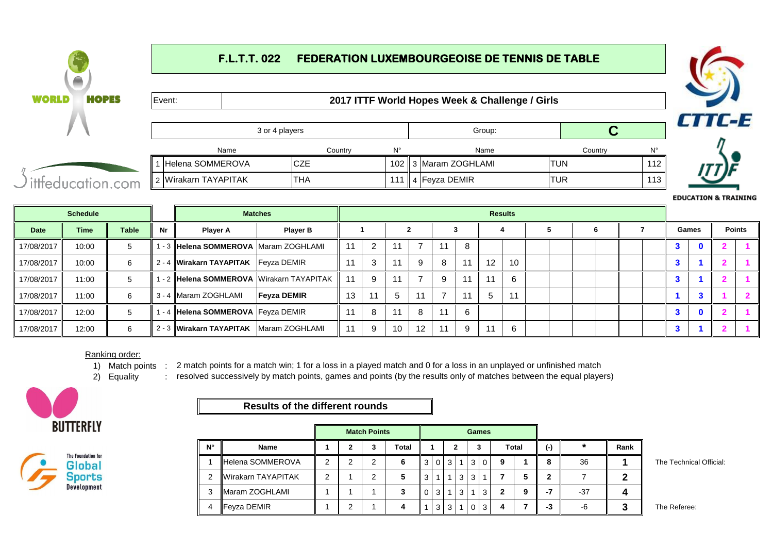# **F.L.T.T. 022 FEDERATION LUXEMBOURGEOISE DE TENNIS DE TABLE WORLD HOPES** Event: **2017 ITTF World Hopes Week & Challenge / Girls** CTTC-E 3 or 4 players Group: **C** Name Country N° Name Country N°1 |Helena SOMMEROVA |CZE | 102 || 3 |Maram ZOGHLAMI | TUN | 112 ittfeducation.com 2 |Wirakarn TAYAPITAK |THA | 111 || 4 |Feyza DEMIR | TUR | 113



## Ranking order:

1) Match points : 2 match points for a match win; 1 for a loss in a played match and 0 for a loss in an unplayed or unfinished match

2) Equality resolved successively by match points, games and points (by the results only of matches between the equal players)





# **Results of the different rounds**

|             |                          |   | <b>Match Points</b> |       |   |                |   |     |     | <b>Games</b>   |   |       |       |       |      |                         |
|-------------|--------------------------|---|---------------------|-------|---|----------------|---|-----|-----|----------------|---|-------|-------|-------|------|-------------------------|
| $N^{\circ}$ | <b>Name</b>              |   |                     | Total |   |                |   | ∍   |     |                |   | Total | $(-)$ |       | Rank |                         |
|             | <b>IHelena SOMMEROVA</b> | ◠ |                     |       | 3 |                | 3 |     | 3 I | $\overline{0}$ | 9 |       | 8     | 36    |      | The Technical Official: |
| 2           | Wirakarn TAYAPITAK       | ◠ |                     | 5     | 3 |                |   | 3 I | 3   |                |   | 5     | 2     |       |      |                         |
| 3           | <b>IMaram ZOGHLAMI</b>   |   |                     |       | 0 | 3              |   | 3   |     | 3              | າ | g     | -1    | $-37$ |      |                         |
|             | <b>Feyza DEMIR</b>       |   |                     |       |   | 3 <sup>1</sup> | 3 |     | 0 I | 3              |   |       | -3    | -6    |      | The Referee:            |